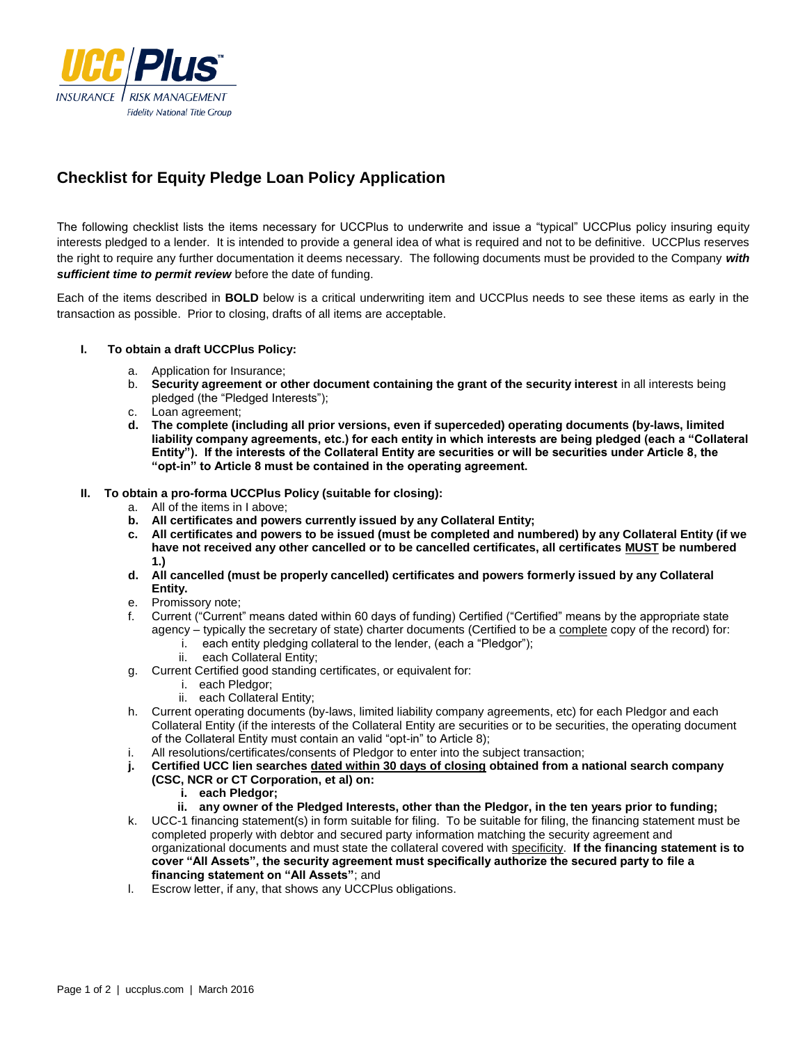

# **Checklist for Equity Pledge Loan Policy Application**

The following checklist lists the items necessary for UCCPlus to underwrite and issue a "typical" UCCPlus policy insuring equity interests pledged to a lender. It is intended to provide a general idea of what is required and not to be definitive. UCCPlus reserves the right to require any further documentation it deems necessary. The following documents must be provided to the Company *with sufficient time to permit review* before the date of funding.

Each of the items described in **BOLD** below is a critical underwriting item and UCCPlus needs to see these items as early in the transaction as possible. Prior to closing, drafts of all items are acceptable.

# **I. To obtain a draft UCCPlus Policy:**

- a. Application for Insurance;
- b. **Security agreement or other document containing the grant of the security interest** in all interests being pledged (the "Pledged Interests");
- c. Loan agreement;
- **d. The complete (including all prior versions, even if superceded) operating documents (by-laws, limited liability company agreements, etc.) for each entity in which interests are being pledged (each a "Collateral Entity"). If the interests of the Collateral Entity are securities or will be securities under Article 8, the "opt-in" to Article 8 must be contained in the operating agreement.**

# **II. To obtain a pro-forma UCCPlus Policy (suitable for closing):**

- a. All of the items in I above;
- **b. All certificates and powers currently issued by any Collateral Entity;**
- **c. All certificates and powers to be issued (must be completed and numbered) by any Collateral Entity (if we have not received any other cancelled or to be cancelled certificates, all certificates MUST be numbered 1.)**
- **d. All cancelled (must be properly cancelled) certificates and powers formerly issued by any Collateral Entity.**
- e. Promissory note;
- f. Current ("Current" means dated within 60 days of funding) Certified ("Certified" means by the appropriate state agency – typically the secretary of state) charter documents (Certified to be a complete copy of the record) for:
	- i. each entity pledging collateral to the lender, (each a "Pledgor");
	- ii. each Collateral Entity;
- g. Current Certified good standing certificates, or equivalent for:
	- i. each Pledgor;
	- ii. each Collateral Entity;
- h. Current operating documents (by-laws, limited liability company agreements, etc) for each Pledgor and each Collateral Entity (if the interests of the Collateral Entity are securities or to be securities, the operating document of the Collateral Entity must contain an valid "opt-in" to Article 8);
- i. All resolutions/certificates/consents of Pledgor to enter into the subject transaction;
- **j. Certified UCC lien searches dated within 30 days of closing obtained from a national search company** 
	- **(CSC, NCR or CT Corporation, et al) on:**
		- **i. each Pledgor;**
		- **ii. any owner of the Pledged Interests, other than the Pledgor, in the ten years prior to funding;**
- k. UCC-1 financing statement(s) in form suitable for filing. To be suitable for filing, the financing statement must be completed properly with debtor and secured party information matching the security agreement and organizational documents and must state the collateral covered with specificity. **If the financing statement is to cover "All Assets", the security agreement must specifically authorize the secured party to file a financing statement on "All Assets"**; and
- l. Escrow letter, if any, that shows any UCCPlus obligations.